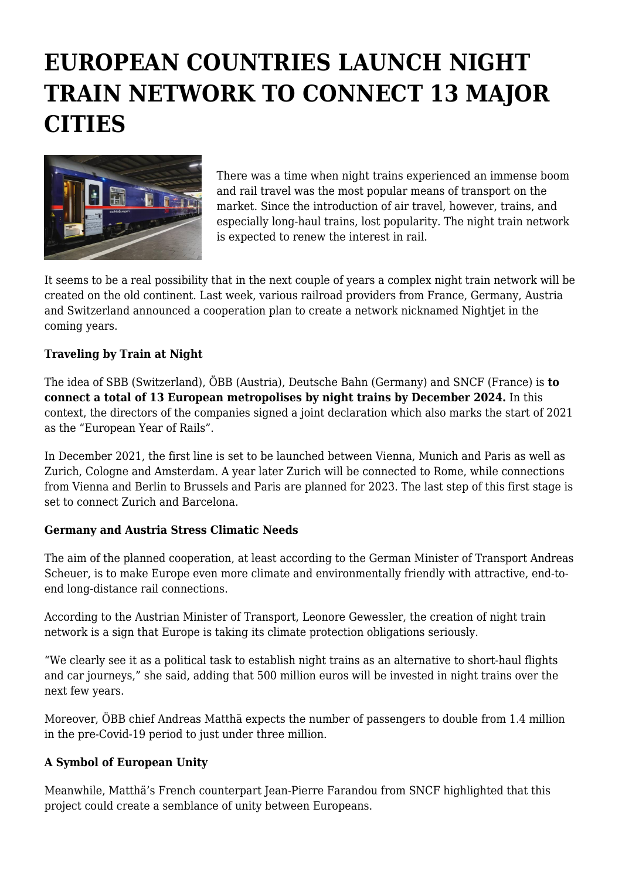# **EUROPEAN COUNTRIES LAUNCH NIGHT TRAIN NETWORK TO CONNECT 13 MAJOR CITIES**



There was a time when night trains experienced an immense boom and rail travel was the most popular means of transport on the market. Since the introduction of air travel, however, trains, and especially long-haul trains, lost popularity. The night train network is expected to renew the interest in rail.

It seems to be a real possibility that in the next couple of years a complex night train network will be created on the old continent. Last week, various railroad providers from France, Germany, Austria and Switzerland announced a cooperation plan to create a network nicknamed Nightjet in the coming years.

### **Traveling by Train at Night**

The idea of SBB (Switzerland), ÖBB (Austria), Deutsche Bahn (Germany) and SNCF (France) is **to connect a total of 13 European metropolises by night trains by December 2024.** In this context, the directors of the companies signed a joint declaration which also marks the start of 2021 as the "European Year of Rails".

In December 2021, the first line is set to be launched between Vienna, Munich and Paris as well as Zurich, Cologne and Amsterdam. A year later Zurich will be connected to Rome, while connections from Vienna and Berlin to Brussels and Paris are planned for 2023. The last step of this first stage is set to connect Zurich and Barcelona.

#### **Germany and Austria Stress Climatic Needs**

The aim of the planned cooperation, at least according to the German Minister of Transport Andreas Scheuer, is to make Europe even more climate and environmentally friendly with attractive, end-toend long-distance rail connections.

According to the Austrian Minister of Transport, Leonore Gewessler, the creation of night train network is a sign that Europe is taking its climate protection obligations seriously.

"We clearly see it as a political task to establish night trains as an alternative to short-haul flights and car journeys," she said, adding that 500 million euros will be invested in night trains over the next few years.

Moreover, ÖBB chief Andreas Matthä expects the number of passengers to double from 1.4 million in the pre-Covid-19 period to just under three million.

# **A Symbol of European Unity**

Meanwhile, Matthä's French counterpart Jean-Pierre Farandou from SNCF highlighted that this project could create a semblance of unity between Europeans.